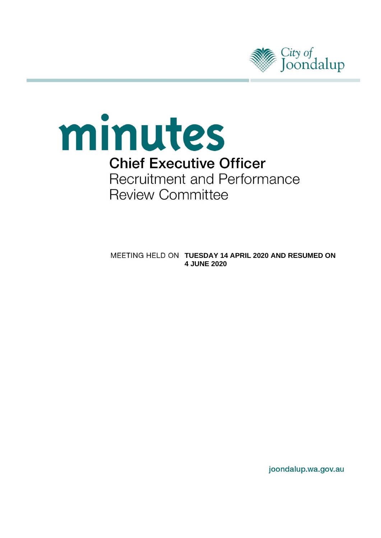



**MEETING HELD ON TUESDAY 14 APRIL 2020 AND RESUMED ON 4 JUNE 2020** 

joondalup.wa.gov.au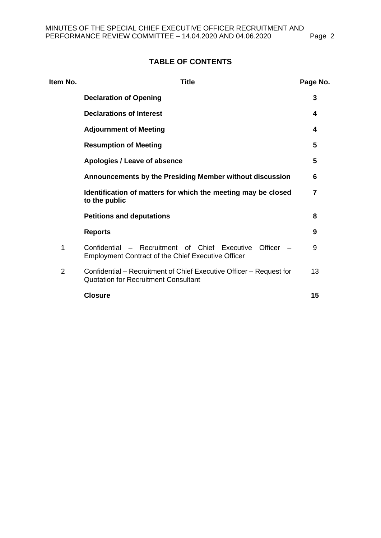## **TABLE OF CONTENTS**

| Item No.       | <b>Title</b>                                                                                                          |    |
|----------------|-----------------------------------------------------------------------------------------------------------------------|----|
|                | <b>Declaration of Opening</b>                                                                                         | 3  |
|                | <b>Declarations of Interest</b>                                                                                       | 4  |
|                | <b>Adjournment of Meeting</b>                                                                                         | 4  |
|                | <b>Resumption of Meeting</b>                                                                                          | 5  |
|                | Apologies / Leave of absence                                                                                          | 5  |
|                | Announcements by the Presiding Member without discussion                                                              | 6  |
|                | Identification of matters for which the meeting may be closed<br>to the public                                        | 7  |
|                | <b>Petitions and deputations</b>                                                                                      | 8  |
|                | <b>Reports</b>                                                                                                        | 9  |
| 1              | Confidential – Recruitment of Chief Executive<br>Officer<br><b>Employment Contract of the Chief Executive Officer</b> | 9  |
| $\overline{2}$ | Confidential – Recruitment of Chief Executive Officer – Request for<br><b>Quotation for Recruitment Consultant</b>    | 13 |
|                | <b>Closure</b>                                                                                                        | 15 |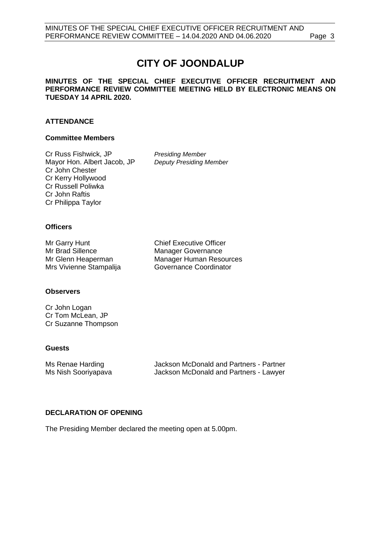# **CITY OF JOONDALUP**

#### **MINUTES OF THE SPECIAL CHIEF EXECUTIVE OFFICER RECRUITMENT AND PERFORMANCE REVIEW COMMITTEE MEETING HELD BY ELECTRONIC MEANS ON TUESDAY 14 APRIL 2020.**

## **ATTENDANCE**

#### **Committee Members**

Cr Russ Fishwick, JP Mayor Hon. Albert Jacob, JP Cr John Chester Cr Kerry Hollywood Cr Russell Poliwka Cr John Raftis Cr Philippa Taylor

*Presiding Member Deputy Presiding Member*

## **Officers**

Mr Garry Hunt Mr Brad Sillence Mr Glenn Heaperman Mrs Vivienne Stampalija Chief Executive Officer Manager Governance Manager Human Resources Governance Coordinator

## **Observers**

Cr John Logan Cr Tom McLean, JP Cr Suzanne Thompson

## **Guests**

Jackson McDonald and Partners - Partner Ms Renae Harding Ms Nish Sooriyapava Jackson McDonald and Partners - Lawyer

## <span id="page-2-0"></span>**DECLARATION OF OPENING**

The Presiding Member declared the meeting open at 5.00pm.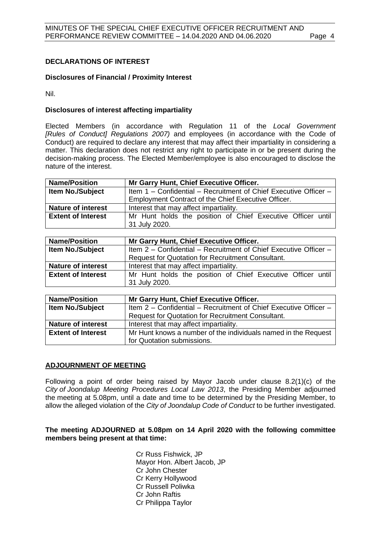## <span id="page-3-0"></span>**DECLARATIONS OF INTEREST**

## **Disclosures of Financial / Proximity Interest**

Nil.

## **Disclosures of interest affecting impartiality**

Elected Members (in accordance with Regulation 11 of the *Local Government [Rules of Conduct] Regulations 2007)* and employees (in accordance with the Code of Conduct) are required to declare any interest that may affect their impartiality in considering a matter. This declaration does not restrict any right to participate in or be present during the decision-making process. The Elected Member/employee is also encouraged to disclose the nature of the interest.

| <b>Name/Position</b>      | Mr Garry Hunt, Chief Executive Officer.                          |  |  |
|---------------------------|------------------------------------------------------------------|--|--|
| Item No./Subject          | Item 1 - Confidential - Recruitment of Chief Executive Officer - |  |  |
|                           | Employment Contract of the Chief Executive Officer.              |  |  |
| <b>Nature of interest</b> | Interest that may affect impartiality.                           |  |  |
| <b>Extent of Interest</b> | Mr Hunt holds the position of Chief Executive Officer until      |  |  |
|                           | 31 July 2020.                                                    |  |  |

| <b>Name/Position</b>      | Mr Garry Hunt, Chief Executive Officer.                                      |  |  |
|---------------------------|------------------------------------------------------------------------------|--|--|
| <b>Item No./Subject</b>   | Item 2 - Confidential - Recruitment of Chief Executive Officer -             |  |  |
|                           | <b>Request for Quotation for Recruitment Consultant.</b>                     |  |  |
| <b>Nature of interest</b> | Interest that may affect impartiality.                                       |  |  |
| <b>Extent of Interest</b> | Mr Hunt holds the position of Chief Executive Officer until<br>31 July 2020. |  |  |

| <b>Name/Position</b>                                                                        | Mr Garry Hunt, Chief Executive Officer.                          |  |
|---------------------------------------------------------------------------------------------|------------------------------------------------------------------|--|
| Item No./Subject                                                                            | Item 2 – Confidential – Recruitment of Chief Executive Officer – |  |
|                                                                                             | <b>Request for Quotation for Recruitment Consultant.</b>         |  |
| <b>Nature of interest</b>                                                                   | Interest that may affect impartiality.                           |  |
| <b>Extent of Interest</b><br>Mr Hunt knows a number of the individuals named in the Request |                                                                  |  |
|                                                                                             | for Quotation submissions.                                       |  |

## <span id="page-3-1"></span>**ADJOURNMENT OF MEETING**

Following a point of order being raised by Mayor Jacob under clause 8.2(1)(c) of the *City of Joondalup Meeting Procedures Local Law 2013*, the Presiding Member adjourned the meeting at 5.08pm, until a date and time to be determined by the Presiding Member, to allow the alleged violation of the *City of Joondalup Code of Conduct* to be further investigated.

## **The meeting ADJOURNED at 5.08pm on 14 April 2020 with the following committee members being present at that time:**

Cr Russ Fishwick, JP Mayor Hon. Albert Jacob, JP Cr John Chester Cr Kerry Hollywood Cr Russell Poliwka Cr John Raftis Cr Philippa Taylor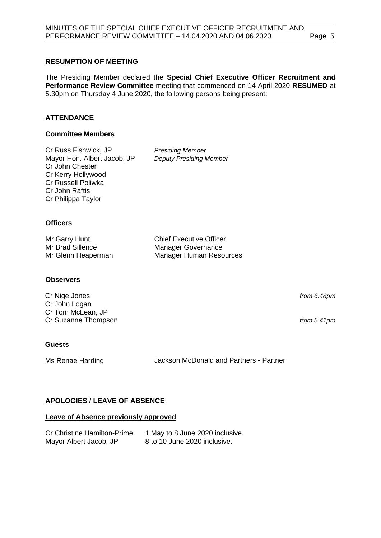## <span id="page-4-0"></span>**RESUMPTION OF MEETING**

The Presiding Member declared the **Special Chief Executive Officer Recruitment and Performance Review Committee** meeting that commenced on 14 April 2020 **RESUMED** at 5.30pm on Thursday 4 June 2020, the following persons being present:

## **ATTENDANCE**

#### **Committee Members**

Cr Russ Fishwick, JP *Presiding Member* Mayor Hon. Albert Jacob, JP *Deputy Presiding Member* Cr John Chester Cr Kerry Hollywood Cr Russell Poliwka Cr John Raftis Cr Philippa Taylor

Chief Executive Officer Manager Governance Manager Human Resources

## **Officers**

| Mr Garry Hunt      |  |
|--------------------|--|
| Mr Brad Sillence   |  |
| Mr Glenn Heaperman |  |

#### **Observers**

Cr Nige Jones Cr John Logan Cr Tom McLean, JP Cr Suzanne Thompson

#### **Guests**

Ms Renae Harding **Jackson McDonald and Partners - Partner** 

## <span id="page-4-1"></span>**APOLOGIES / LEAVE OF ABSENCE**

#### **Leave of Absence previously approved**

| <b>Cr Christine Hamilton-Prime</b> | 1 May to 8 June 2020 inclusive. |
|------------------------------------|---------------------------------|
| Mayor Albert Jacob, JP             | 8 to 10 June 2020 inclusive.    |

*from 6.48pm*

*from 5.41pm*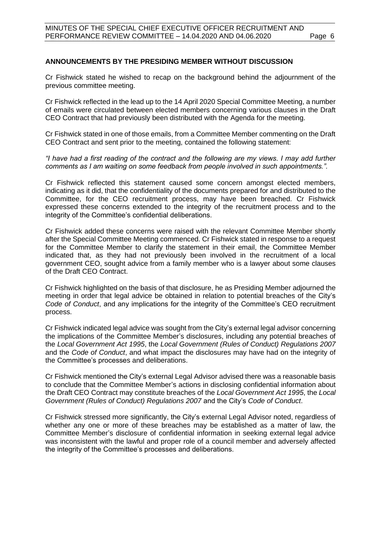## <span id="page-5-0"></span>**ANNOUNCEMENTS BY THE PRESIDING MEMBER WITHOUT DISCUSSION**

Cr Fishwick stated he wished to recap on the background behind the adjournment of the previous committee meeting.

Cr Fishwick reflected in the lead up to the 14 April 2020 Special Committee Meeting, a number of emails were circulated between elected members concerning various clauses in the Draft CEO Contract that had previously been distributed with the Agenda for the meeting.

Cr Fishwick stated in one of those emails, from a Committee Member commenting on the Draft CEO Contract and sent prior to the meeting, contained the following statement:

*"I have had a first reading of the contract and the following are my views. I may add further comments as I am waiting on some feedback from people involved in such appointments.".*

Cr Fishwick reflected this statement caused some concern amongst elected members, indicating as it did, that the confidentiality of the documents prepared for and distributed to the Committee, for the CEO recruitment process, may have been breached. Cr Fishwick expressed these concerns extended to the integrity of the recruitment process and to the integrity of the Committee's confidential deliberations.

Cr Fishwick added these concerns were raised with the relevant Committee Member shortly after the Special Committee Meeting commenced. Cr Fishwick stated in response to a request for the Committee Member to clarify the statement in their email, the Committee Member indicated that, as they had not previously been involved in the recruitment of a local government CEO, sought advice from a family member who is a lawyer about some clauses of the Draft CEO Contract.

Cr Fishwick highlighted on the basis of that disclosure, he as Presiding Member adjourned the meeting in order that legal advice be obtained in relation to potential breaches of the City's *Code of Conduct*, and any implications for the integrity of the Committee's CEO recruitment process.

Cr Fishwick indicated legal advice was sought from the City's external legal advisor concerning the implications of the Committee Member's disclosures, including any potential breaches of the *Local Government Act 1995*, the *Local Government (Rules of Conduct) Regulations 2007*  and the *Code of Conduct*, and what impact the disclosures may have had on the integrity of the Committee's processes and deliberations.

Cr Fishwick mentioned the City's external Legal Advisor advised there was a reasonable basis to conclude that the Committee Member's actions in disclosing confidential information about the Draft CEO Contract may constitute breaches of the *Local Government Act 1995*, the *Local Government (Rules of Conduct) Regulations 2007* and the City's *Code of Conduct*.

Cr Fishwick stressed more significantly, the City's external Legal Advisor noted, regardless of whether any one or more of these breaches may be established as a matter of law, the Committee Member's disclosure of confidential information in seeking external legal advice was inconsistent with the lawful and proper role of a council member and adversely affected the integrity of the Committee's processes and deliberations.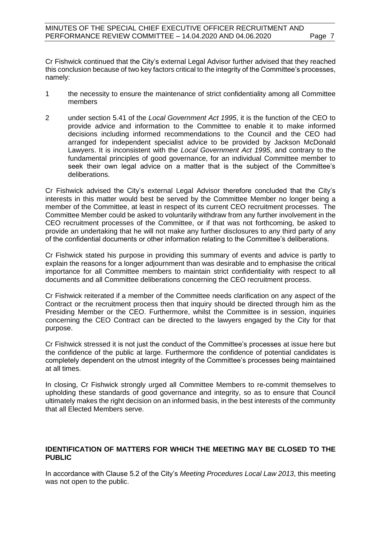Cr Fishwick continued that the City's external Legal Advisor further advised that they reached this conclusion because of two key factors critical to the integrity of the Committee's processes, namely:

- 1 the necessity to ensure the maintenance of strict confidentiality among all Committee members
- 2 under section 5.41 of the *Local Government Act 1995*, it is the function of the CEO to provide advice and information to the Committee to enable it to make informed decisions including informed recommendations to the Council and the CEO had arranged for independent specialist advice to be provided by Jackson McDonald Lawyers. It is inconsistent with the *Local Government Act 1995*, and contrary to the fundamental principles of good governance, for an individual Committee member to seek their own legal advice on a matter that is the subject of the Committee's deliberations.

Cr Fishwick advised the City's external Legal Advisor therefore concluded that the City's interests in this matter would best be served by the Committee Member no longer being a member of the Committee, at least in respect of its current CEO recruitment processes. The Committee Member could be asked to voluntarily withdraw from any further involvement in the CEO recruitment processes of the Committee, or if that was not forthcoming, be asked to provide an undertaking that he will not make any further disclosures to any third party of any of the confidential documents or other information relating to the Committee's deliberations.

Cr Fishwick stated his purpose in providing this summary of events and advice is partly to explain the reasons for a longer adjournment than was desirable and to emphasise the critical importance for all Committee members to maintain strict confidentiality with respect to all documents and all Committee deliberations concerning the CEO recruitment process.

Cr Fishwick reiterated if a member of the Committee needs clarification on any aspect of the Contract or the recruitment process then that inquiry should be directed through him as the Presiding Member or the CEO. Furthermore, whilst the Committee is in session, inquiries concerning the CEO Contract can be directed to the lawyers engaged by the City for that purpose.

Cr Fishwick stressed it is not just the conduct of the Committee's processes at issue here but the confidence of the public at large. Furthermore the confidence of potential candidates is completely dependent on the utmost integrity of the Committee's processes being maintained at all times.

In closing, Cr Fishwick strongly urged all Committee Members to re-commit themselves to upholding these standards of good governance and integrity, so as to ensure that Council ultimately makes the right decision on an informed basis, in the best interests of the community that all Elected Members serve.

## <span id="page-6-0"></span>**IDENTIFICATION OF MATTERS FOR WHICH THE MEETING MAY BE CLOSED TO THE PUBLIC**

In accordance with Clause 5.2 of the City's *Meeting Procedures Local Law 2013*, this meeting was not open to the public.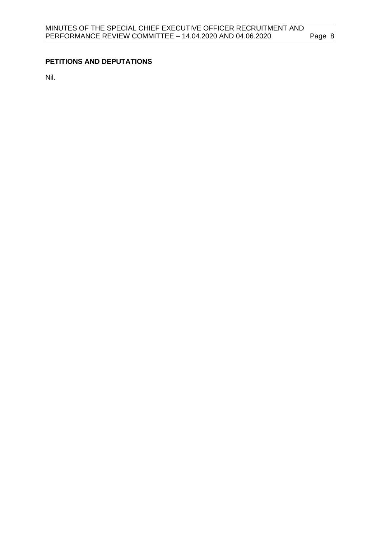## <span id="page-7-0"></span>**PETITIONS AND DEPUTATIONS**

Nil.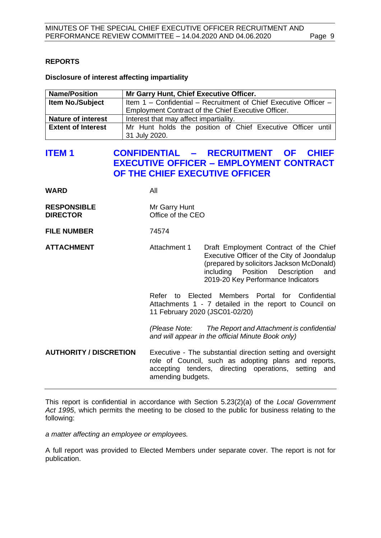## <span id="page-8-0"></span>**REPORTS**

**Disclosure of interest affecting impartiality**

| <b>Name/Position</b>      | Mr Garry Hunt, Chief Executive Officer.                          |  |  |
|---------------------------|------------------------------------------------------------------|--|--|
| <b>Item No./Subject</b>   | Item 1 – Confidential – Recruitment of Chief Executive Officer – |  |  |
|                           | Employment Contract of the Chief Executive Officer.              |  |  |
| <b>Nature of interest</b> | Interest that may affect impartiality.                           |  |  |
| <b>Extent of Interest</b> | Mr Hunt holds the position of Chief Executive Officer until      |  |  |
|                           | 31 July 2020.                                                    |  |  |

## <span id="page-8-1"></span>**ITEM 1 CONFIDENTIAL – RECRUITMENT OF CHIEF EXECUTIVE OFFICER – EMPLOYMENT CONTRACT OF THE CHIEF EXECUTIVE OFFICER**

**WARD** All

**RESPONSIBLE** Mr Garry Hunt **DIRECTOR** Office of the CEO

**FILE NUMBER** 74574

**ATTACHMENT** Attachment 1 Draft Employment Contract of the Chief Executive Officer of the City of Joondalup (prepared by solicitors Jackson McDonald) including Position Description and 2019-20 Key Performance Indicators

> Refer to Elected Members Portal for Confidential Attachments 1 - 7 detailed in the report to Council on 11 February 2020 (JSC01-02/20)

> *(Please Note: The Report and Attachment is confidential and will appear in the official Minute Book only)*

**AUTHORITY / DISCRETION** Executive - The substantial direction setting and oversight role of Council, such as adopting plans and reports, accepting tenders, directing operations, setting and amending budgets.

This report is confidential in accordance with Section 5.23(2)(a) of the *Local Government Act 1995*, which permits the meeting to be closed to the public for business relating to the following:

*a matter affecting an employee or employees.*

A full report was provided to Elected Members under separate cover. The report is not for publication.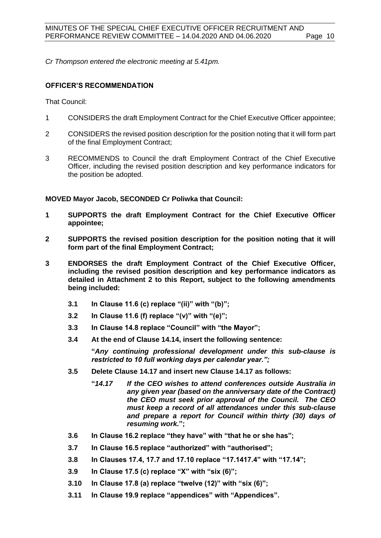*Cr Thompson entered the electronic meeting at 5.41pm.*

## **OFFICER'S RECOMMENDATION**

That Council:

- 1 CONSIDERS the draft Employment Contract for the Chief Executive Officer appointee;
- 2 CONSIDERS the revised position description for the position noting that it will form part of the final Employment Contract;
- 3 RECOMMENDS to Council the draft Employment Contract of the Chief Executive Officer, including the revised position description and key performance indicators for the position be adopted.

#### **MOVED Mayor Jacob, SECONDED Cr Poliwka that Council:**

- **1 SUPPORTS the draft Employment Contract for the Chief Executive Officer appointee;**
- **2 SUPPORTS the revised position description for the position noting that it will form part of the final Employment Contract;**
- **3 ENDORSES the draft Employment Contract of the Chief Executive Officer, including the revised position description and key performance indicators as detailed in Attachment 2 to this Report, subject to the following amendments being included:** 
	- **3.1 In Clause 11.6 (c) replace "(ii)" with "(b)";**
	- **3.2 In Clause 11.6 (f) replace "(v)" with "(e)";**
	- **3.3 In Clause 14.8 replace "Council" with "the Mayor";**
	- **3.4 At the end of Clause 14.14, insert the following sentence:**

**"***Any continuing professional development under this sub-clause is restricted to 10 full working days per calendar year.";*

- **3.5 Delete Clause 14.17 and insert new Clause 14.17 as follows:**
	- **"***14.17 If the CEO wishes to attend conferences outside Australia in any given year (based on the anniversary date of the Contract) the CEO must seek prior approval of the Council. The CEO must keep a record of all attendances under this sub-clause and prepare a report for Council within thirty (30) days of resuming work.***";**
- **3.6 In Clause 16.2 replace "they have" with "that he or she has";**
- **3.7 In Clause 16.5 replace "authorized" with "authorised";**
- **3.8 In Clauses 17.4, 17.7 and 17.10 replace "17.1417.4" with "17.14";**
- **3.9 In Clause 17.5 (c) replace "X" with "six (6)";**
- **3.10 In Clause 17.8 (a) replace "twelve (12)" with "six (6)";**
- **3.11 In Clause 19.9 replace "appendices" with "Appendices".**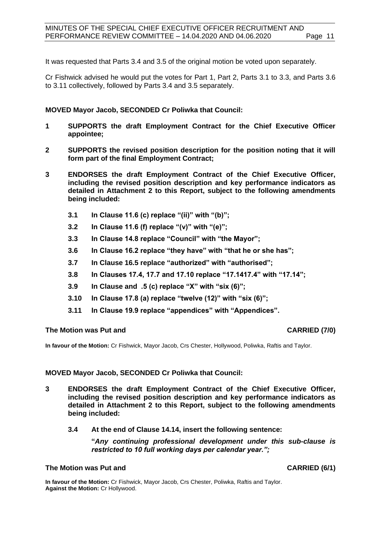It was requested that Parts 3.4 and 3.5 of the original motion be voted upon separately.

Cr Fishwick advised he would put the votes for Part 1, Part 2, Parts 3.1 to 3.3, and Parts 3.6 to 3.11 collectively, followed by Parts 3.4 and 3.5 separately.

#### **MOVED Mayor Jacob, SECONDED Cr Poliwka that Council:**

- **1 SUPPORTS the draft Employment Contract for the Chief Executive Officer appointee;**
- **2 SUPPORTS the revised position description for the position noting that it will form part of the final Employment Contract;**
- **3 ENDORSES the draft Employment Contract of the Chief Executive Officer, including the revised position description and key performance indicators as detailed in Attachment 2 to this Report, subject to the following amendments being included:** 
	- **3.1 In Clause 11.6 (c) replace "(ii)" with "(b)";**
	- **3.2 In Clause 11.6 (f) replace "(v)" with "(e)";**
	- **3.3 In Clause 14.8 replace "Council" with "the Mayor";**
	- **3.6 In Clause 16.2 replace "they have" with "that he or she has";**
	- **3.7 In Clause 16.5 replace "authorized" with "authorised";**
	- **3.8 In Clauses 17.4, 17.7 and 17.10 replace "17.1417.4" with "17.14";**
	- **3.9 In Clause and .5 (c) replace "X" with "six (6)";**
	- **3.10 In Clause 17.8 (a) replace "twelve (12)" with "six (6)";**
	- **3.11 In Clause 19.9 replace "appendices" with "Appendices".**

#### **The Motion was Put and CARRIED (7/0)**

**In favour of the Motion:** Cr Fishwick, Mayor Jacob, Crs Chester, Hollywood, Poliwka, Raftis and Taylor.

#### **MOVED Mayor Jacob, SECONDED Cr Poliwka that Council:**

- **3 ENDORSES the draft Employment Contract of the Chief Executive Officer, including the revised position description and key performance indicators as detailed in Attachment 2 to this Report, subject to the following amendments being included:** 
	- **3.4 At the end of Clause 14.14, insert the following sentence:**

**"***Any continuing professional development under this sub-clause is restricted to 10 full working days per calendar year.";*

#### **The Motion was Put and CARRIED (6/1)**

**In favour of the Motion:** Cr Fishwick, Mayor Jacob, Crs Chester, Poliwka, Raftis and Taylor. **Against the Motion:** Cr Hollywood.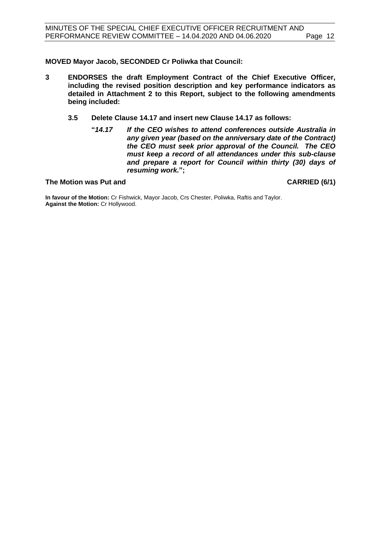**MOVED Mayor Jacob, SECONDED Cr Poliwka that Council:**

- **3 ENDORSES the draft Employment Contract of the Chief Executive Officer, including the revised position description and key performance indicators as detailed in Attachment 2 to this Report, subject to the following amendments being included:**
	- **3.5 Delete Clause 14.17 and insert new Clause 14.17 as follows:**
		- **"***14.17 If the CEO wishes to attend conferences outside Australia in any given year (based on the anniversary date of the Contract) the CEO must seek prior approval of the Council. The CEO must keep a record of all attendances under this sub-clause and prepare a report for Council within thirty (30) days of resuming work.***";**

**The Motion was Put and CARRIED (6/1)**

**In favour of the Motion:** Cr Fishwick, Mayor Jacob, Crs Chester, Poliwka, Raftis and Taylor. **Against the Motion:** Cr Hollywood.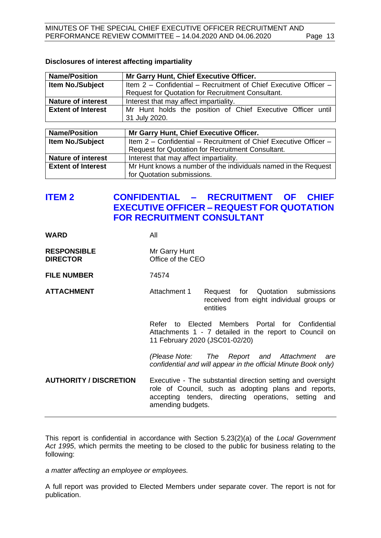| <b>Name/Position</b>      | Mr Garry Hunt, Chief Executive Officer.                          |  |  |
|---------------------------|------------------------------------------------------------------|--|--|
| Item No./Subject          | Item 2 - Confidential - Recruitment of Chief Executive Officer - |  |  |
|                           | <b>Request for Quotation for Recruitment Consultant.</b>         |  |  |
| <b>Nature of interest</b> | Interest that may affect impartiality.                           |  |  |
| <b>Extent of Interest</b> | Mr Hunt holds the position of Chief Executive Officer until      |  |  |
|                           | 31 July 2020.                                                    |  |  |
|                           |                                                                  |  |  |
| <b>Name/Position</b>      | Mr Garry Hunt, Chief Executive Officer.                          |  |  |
| Item No./Subject          | Item 2 - Confidential - Recruitment of Chief Executive Officer - |  |  |
|                           | <b>Request for Quotation for Recruitment Consultant.</b>         |  |  |
| <b>Nature of interest</b> | Interest that may affect impartiality.                           |  |  |
| <b>Extent of Interest</b> | Mr Hunt knows a number of the individuals named in the Request   |  |  |
|                           | for Quotation submissions.                                       |  |  |

#### **Disclosures of interest affecting impartiality**

## <span id="page-12-0"></span>**ITEM 2 CONFIDENTIAL – RECRUITMENT OF CHIEF EXECUTIVE OFFICER – REQUEST FOR QUOTATION FOR RECRUITMENT CONSULTANT**

| <b>WARD</b> | All |
|-------------|-----|
|             |     |

| <b>RESPONSIBLE</b> | Mr Garry Hunt     |
|--------------------|-------------------|
| <b>DIRECTOR</b>    | Office of the CEO |

## **FILE NUMBER** 74574

ATTACHMENT **Attachment 1** Request for Quotation submissions received from eight individual groups or entities

> Refer to Elected Members Portal for Confidential Attachments 1 - 7 detailed in the report to Council on 11 February 2020 (JSC01-02/20)

> *(Please Note: The Report and Attachment are confidential and will appear in the official Minute Book only)*

**AUTHORITY / DISCRETION** Executive - The substantial direction setting and oversight role of Council, such as adopting plans and reports, accepting tenders, directing operations, setting and amending budgets.

This report is confidential in accordance with Section 5.23(2)(a) of the *Local Government Act 1995*, which permits the meeting to be closed to the public for business relating to the following:

*a matter affecting an employee or employees.*

A full report was provided to Elected Members under separate cover. The report is not for publication.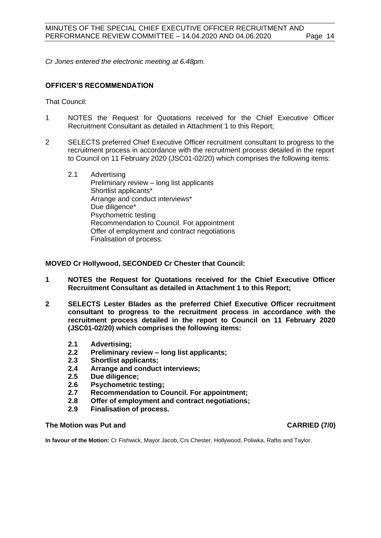*Cr Jones entered the electronic meeting at 6.48pm.*

#### **OFFICER'S RECOMMENDATION**

That Council:

- 1 NOTES the Request for Quotations received for the Chief Executive Officer Recruitment Consultant as detailed in Attachment 1 to this Report;
- 2 SELECTS preferred Chief Executive Officer recruitment consultant to progress to the recruitment process in accordance with the recruitment process detailed in the report to Council on 11 February 2020 (JSC01-02/20) which comprises the following items:
	- 2.1 Advertising Preliminary review – long list applicants Shortlist applicants\* Arrange and conduct interviews\* Due diligence\* Psychometric testing Recommendation to Council. For appointment Offer of employment and contract negotiations Finalisation of process.

**MOVED Cr Hollywood, SECONDED Cr Chester that Council:**

- **1 NOTES the Request for Quotations received for the Chief Executive Officer Recruitment Consultant as detailed in Attachment 1 to this Report;**
- **2 SELECTS Lester Blades as the preferred Chief Executive Officer recruitment consultant to progress to the recruitment process in accordance with the recruitment process detailed in the report to Council on 11 February 2020 (JSC01-02/20) which comprises the following items:**
	- **2.1 Advertising;**
	- **2.2 Preliminary review – long list applicants;**
	- **2.3 Shortlist applicants;**
	- **2.4 Arrange and conduct interviews;**
	- **2.5 Due diligence;**
	- **2.6 Psychometric testing;**
	- **2.7 Recommendation to Council. For appointment;**
	- **2.8 Offer of employment and contract negotiations;**
	- **2.9 Finalisation of process.**

#### **The Motion was Put and CARRIED (7/0)**

**In favour of the Motion:** Cr Fishwick, Mayor Jacob, Crs Chester, Hollywood, Poliwka, Raftis and Taylor.